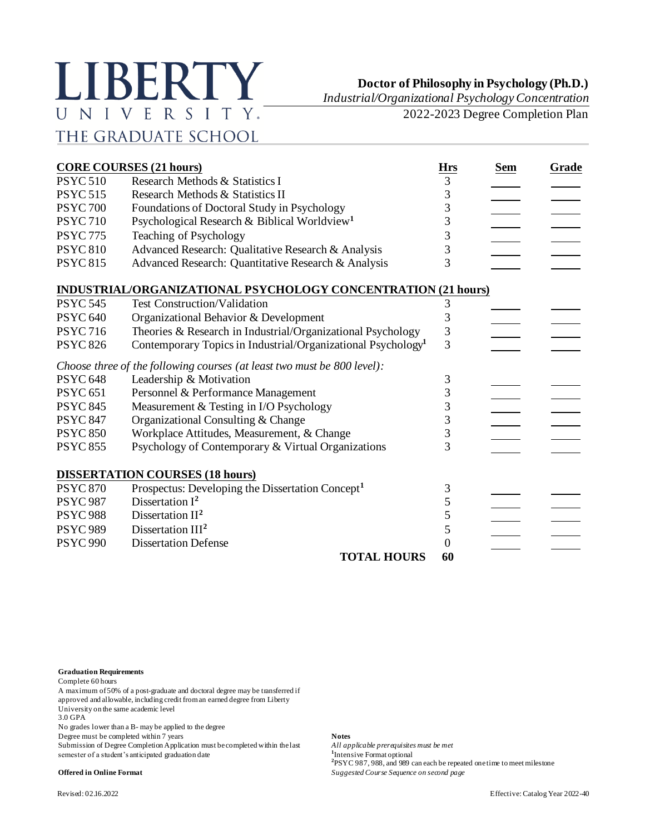## LIBERTY UNIVERSITY. THE GRADUATE SCHOOL

**Doctor of Philosophy in Psychology (Ph.D.)**

*Industrial/Organizational PsychologyConcentration*

2022-2023 Degree Completion Plan

| <b>CORE COURSES (21 hours)</b> |                                                                          |                 | <b>Sem</b> | <b>Grade</b> |
|--------------------------------|--------------------------------------------------------------------------|-----------------|------------|--------------|
| <b>PSYC 510</b>                | Research Methods & Statistics I                                          | <b>Hrs</b><br>3 |            |              |
| <b>PSYC 515</b>                | Research Methods & Statistics II                                         | 3               |            |              |
| <b>PSYC 700</b>                | Foundations of Doctoral Study in Psychology                              | 3               |            |              |
| <b>PSYC 710</b>                | Psychological Research & Biblical Worldview <sup>1</sup>                 | 3               |            |              |
| <b>PSYC 775</b>                | Teaching of Psychology                                                   | 3               |            |              |
| <b>PSYC 810</b>                | Advanced Research: Qualitative Research & Analysis                       | 3               |            |              |
| <b>PSYC 815</b>                | Advanced Research: Quantitative Research & Analysis                      | 3               |            |              |
|                                | INDUSTRIAL/ORGANIZATIONAL PSYCHOLOGY CONCENTRATION (21 hours)            |                 |            |              |
| <b>PSYC 545</b>                | <b>Test Construction/Validation</b>                                      | 3               |            |              |
| <b>PSYC 640</b>                | Organizational Behavior & Development                                    | 3               |            |              |
| <b>PSYC716</b>                 | Theories & Research in Industrial/Organizational Psychology              | 3               |            |              |
| <b>PSYC 826</b>                | Contemporary Topics in Industrial/Organizational Psychology <sup>1</sup> | 3               |            |              |
|                                | Choose three of the following courses (at least two must be 800 level):  |                 |            |              |
| <b>PSYC 648</b>                | Leadership & Motivation                                                  | 3               |            |              |
| <b>PSYC 651</b>                | Personnel & Performance Management                                       | 3               |            |              |
| <b>PSYC 845</b>                | Measurement & Testing in I/O Psychology                                  | 3               |            |              |
| <b>PSYC 847</b>                | Organizational Consulting & Change                                       | 3               |            |              |
| <b>PSYC 850</b>                | Workplace Attitudes, Measurement, & Change                               | 3               |            |              |
| <b>PSYC 855</b>                | Psychology of Contemporary & Virtual Organizations                       | 3               |            |              |
|                                | <b>DISSERTATION COURSES (18 hours)</b>                                   |                 |            |              |
| <b>PSYC 870</b>                | Prospectus: Developing the Dissertation Concept <sup>1</sup>             | 3               |            |              |
| <b>PSYC 987</b>                | Dissertation $I^2$                                                       | 5               |            |              |
| <b>PSYC 988</b>                | Dissertation II <sup>2</sup>                                             | 5               |            |              |
| <b>PSYC 989</b>                | Dissertation $III2$                                                      | 5               |            |              |
| <b>PSYC 990</b>                | <b>Dissertation Defense</b>                                              | $\Omega$        |            |              |
|                                | <b>TOTAL HOURS</b>                                                       | 60              |            |              |

**Graduation Requirements**

Complete 60 hours

A maximum of 50% of a post-graduate and doctoral degree may be transferred if approved and allowable, including credit from an earned degree from Liberty

University on the same academic level

3.0 GPA

No grades lower than a B- may be applied to the degree

Degree must be completed within 7 years **Notes**

Submission of Degree Completion Application must be completed within the last *All applicable prerequisites must be met* semester of a student's anticipated graduation date

<sup>1</sup>Intensive Format optional **2** PSYC 987, 988, and 989 can each be repeated one time to meet milestone **Offered in Online Format** *Suggested Course Sequence on second page*